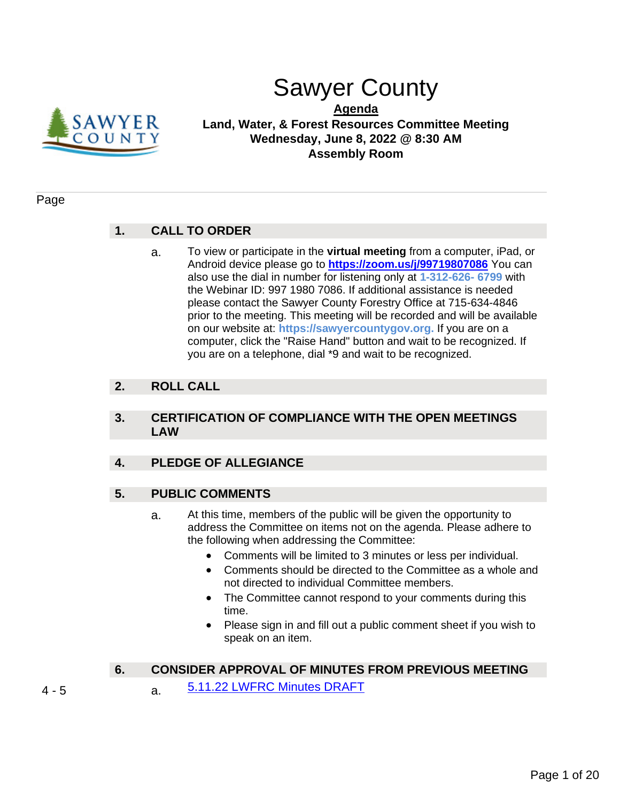

# Sawyer County

**Agenda Land, Water, & Forest Resources Committee Meeting Wednesday, June 8, 2022 @ 8:30 AM Assembly Room**

#### Page

### **1. CALL TO ORDER**

a. To view or participate in the **virtual meeting** from a computer, iPad, or Android device please go to **<https://zoom.us/j/99719807086>** You can also use the dial in number for listening only at **1-312-626- 6799** with the Webinar ID: 997 1980 7086. If additional assistance is needed please contact the Sawyer County Forestry Office at 715-634-4846 prior to the meeting. This meeting will be recorded and will be available on our website at: **https://sawyercountygov.org.** If you are on a computer, click the "Raise Hand" button and wait to be recognized. If you are on a telephone, dial \*9 and wait to be recognized.

### **2. ROLL CALL**

### **3. CERTIFICATION OF COMPLIANCE WITH THE OPEN MEETINGS LAW**

### **4. PLEDGE OF ALLEGIANCE**

### **5. PUBLIC COMMENTS**

- a. At this time, members of the public will be given the opportunity to address the Committee on items not on the agenda. Please adhere to the following when addressing the Committee:
	- Comments will be limited to 3 minutes or less per individual.
	- Comments should be directed to the Committee as a whole and not directed to individual Committee members.
	- The Committee cannot respond to your comments during this time.
	- Please sign in and fill out a public comment sheet if you wish to speak on an item.

### **6. CONSIDER APPROVAL OF MINUTES FROM PREVIOUS MEETING**

- 4 5 **a.** [5.11.22 LWFRC Minutes DRAFT](#page-3-0)
-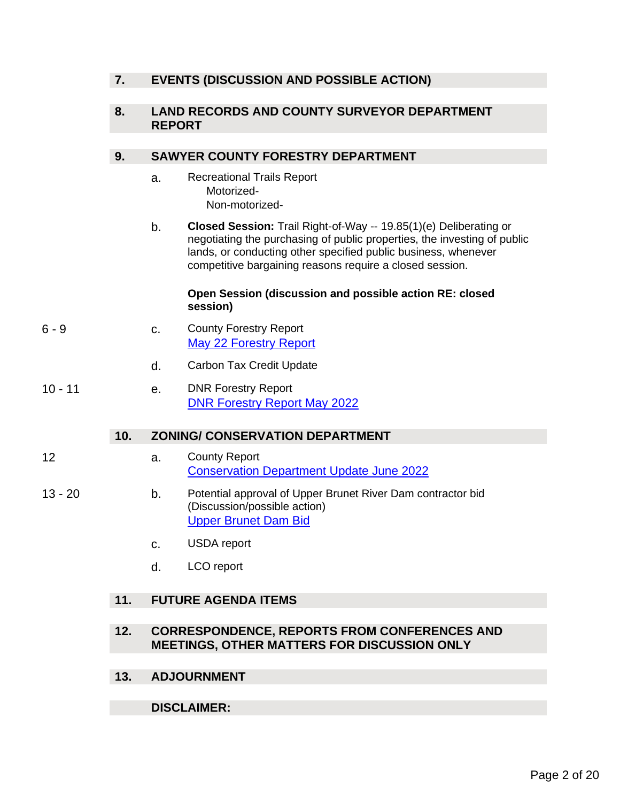### **7. EVENTS (DISCUSSION AND POSSIBLE ACTION)**

### **8. LAND RECORDS AND COUNTY SURVEYOR DEPARTMENT REPORT**

### **9. SAWYER COUNTY FORESTRY DEPARTMENT**

- a. Recreational Trails Report Motorized- Non-motorized-
- b. **Closed Session:** Trail Right-of-Way -- 19.85(1)(e) Deliberating or negotiating the purchasing of public properties, the investing of public lands, or conducting other specified public business, whenever competitive bargaining reasons require a closed session.

#### **Open Session (discussion and possible action RE: closed session)**

- 6 9 c. County Forestry Report [May 22 Forestry Report](#page-5-0)
	- d. Carbon Tax Credit Update
- 10 11 e. DNR Forestry Report [DNR Forestry Report May 2022](#page-9-0)

### **10. ZONING/ CONSERVATION DEPARTMENT**

- 12 a. County Report [Conservation Department Update June 2022](#page-11-0)
- 13 20 b. Potential approval of Upper Brunet River Dam contractor bid (Discussion/possible action) [Upper Brunet Dam Bid](#page-12-0)
	- c. USDA report
	- d. LCO report

### **11. FUTURE AGENDA ITEMS**

- **12. CORRESPONDENCE, REPORTS FROM CONFERENCES AND MEETINGS, OTHER MATTERS FOR DISCUSSION ONLY**
- **13. ADJOURNMENT**

### **DISCLAIMER:**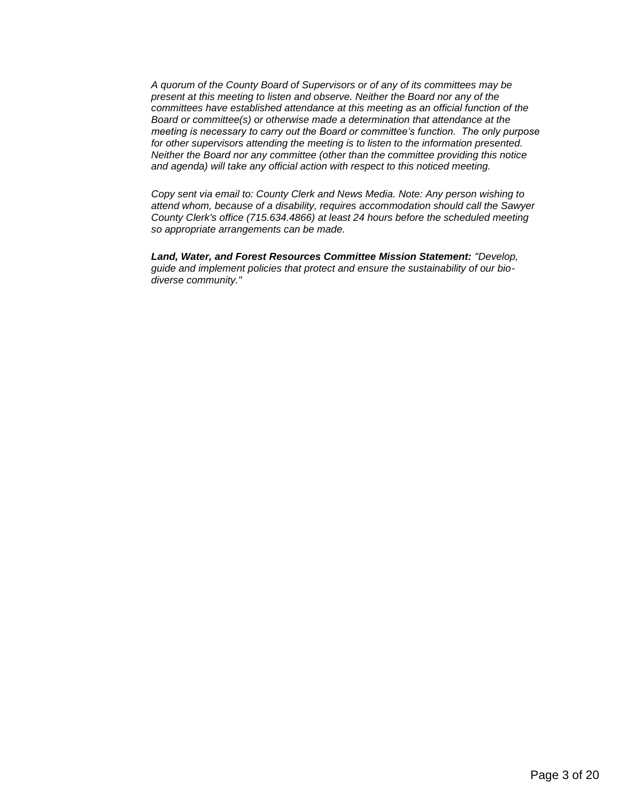*A quorum of the County Board of Supervisors or of any of its committees may be present at this meeting to listen and observe. Neither the Board nor any of the committees have established attendance at this meeting as an official function of the Board or committee(s) or otherwise made a determination that attendance at the meeting is necessary to carry out the Board or committee's function. The only purpose for other supervisors attending the meeting is to listen to the information presented. Neither the Board nor any committee (other than the committee providing this notice and agenda) will take any official action with respect to this noticed meeting.*

*Copy sent via email to: County Clerk and News Media. Note: Any person wishing to attend whom, because of a disability, requires accommodation should call the Sawyer County Clerk's office (715.634.4866) at least 24 hours before the scheduled meeting so appropriate arrangements can be made.*

*Land, Water, and Forest Resources Committee Mission Statement: "Develop, guide and implement policies that protect and ensure the sustainability of our biodiverse community."*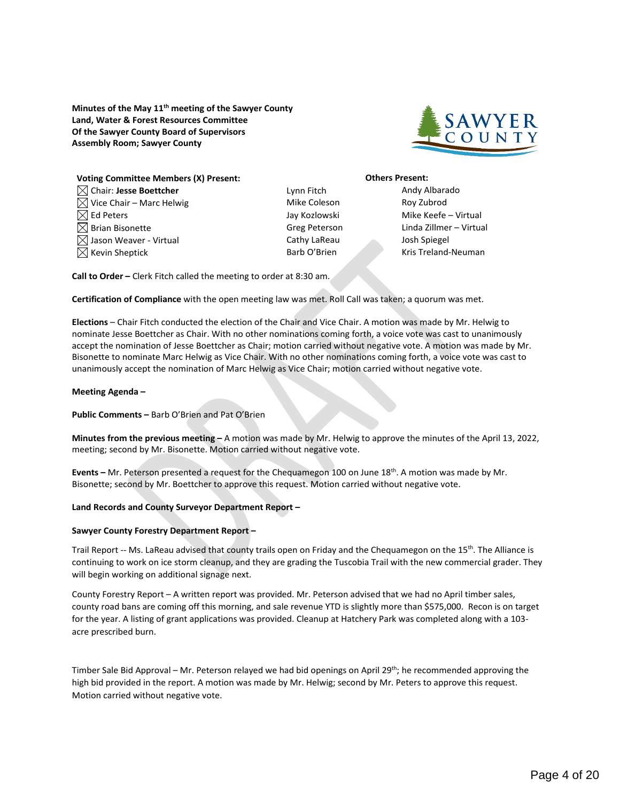<span id="page-3-0"></span>**Minutes of the May 11th meeting of the Sawyer County Land, Water & Forest Resources Committee Of the Sawyer County Board of Supervisors Assembly Room; Sawyer County**



| <b>Voting Committee Members (X) Present:</b> |  |  |  |
|----------------------------------------------|--|--|--|
| $\boxtimes$ Chair: Jesse Boettcher           |  |  |  |
| $\bowtie$ Vice Chair – Marc Helwig           |  |  |  |
| $\boxtimes$ Ed Peters                        |  |  |  |
| $\boxtimes$ Brian Bisonette                  |  |  |  |
| $\bowtie$ Jason Weaver - Virtual             |  |  |  |
| $\boxtimes$ Kevin Sheptick                   |  |  |  |

Lynn Fitch **Andy Albarado** Mike Coleson **Roy Zubrod** Cathy LaReau Josh Spiegel

#### **Others Present:**

Jay Kozlowski Mike Keefe – Virtual Greg Peterson Linda Zillmer – Virtual Barb O'Brien Kris Treland-Neuman

**Call to Order –** Clerk Fitch called the meeting to order at 8:30 am.

**Certification of Compliance** with the open meeting law was met. Roll Call was taken; a quorum was met.

**Elections** – Chair Fitch conducted the election of the Chair and Vice Chair. A motion was made by Mr. Helwig to nominate Jesse Boettcher as Chair. With no other nominations coming forth, a voice vote was cast to unanimously accept the nomination of Jesse Boettcher as Chair; motion carried without negative vote. A motion was made by Mr. Bisonette to nominate Marc Helwig as Vice Chair. With no other nominations coming forth, a voice vote was cast to unanimously accept the nomination of Marc Helwig as Vice Chair; motion carried without negative vote.

#### **Meeting Agenda –**

**Public Comments –** Barb O'Brien and Pat O'Brien

**Minutes from the previous meeting –** A motion was made by Mr. Helwig to approve the minutes of the April 13, 2022, meeting; second by Mr. Bisonette. Motion carried without negative vote.

**Events –** Mr. Peterson presented a request for the Chequamegon 100 on June 18th. A motion was made by Mr. Bisonette; second by Mr. Boettcher to approve this request. Motion carried without negative vote.

#### **Land Records and County Surveyor Department Report –**

#### **Sawyer County Forestry Department Report –**

Trail Report -- Ms. LaReau advised that county trails open on Friday and the Chequamegon on the 15<sup>th</sup>. The Alliance is continuing to work on ice storm cleanup, and they are grading the Tuscobia Trail with the new commercial grader. They will begin working on additional signage next.

County Forestry Report – A written report was provided. Mr. Peterson advised that we had no April timber sales, county road bans are coming off this morning, and sale revenue YTD is slightly more than \$575,000. Recon is on target for the year. A listing of grant applications was provided. Cleanup at Hatchery Park was completed along with a 103 acre prescribed burn.

Timber Sale Bid Approval – Mr. Peterson relayed we had bid openings on April 29<sup>th</sup>; he recommended approving the high bid provided in the report. A motion was made by Mr. Helwig; second by Mr. Peters to approve this request. Motion carried without negative vote.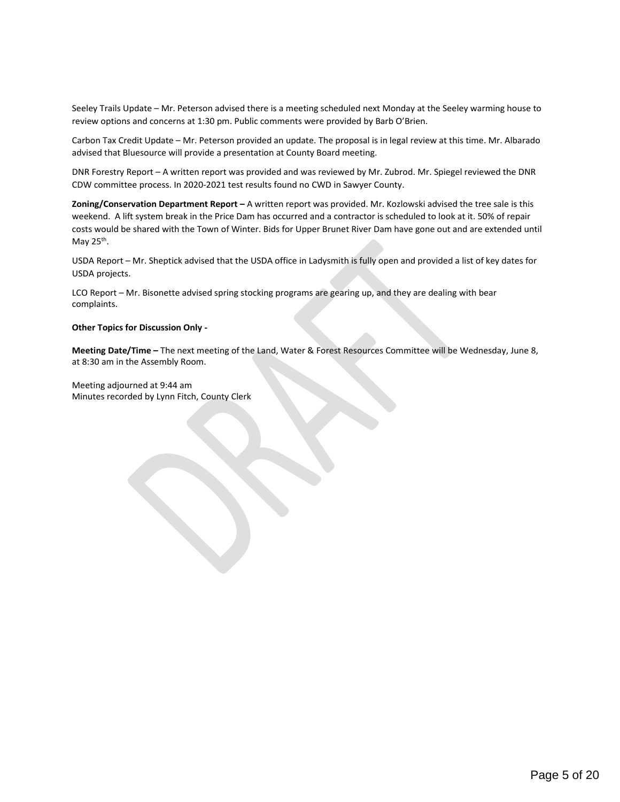Seeley Trails Update – Mr. Peterson advised there is a meeting scheduled next Monday at the Seeley warming house to review options and concerns at 1:30 pm. Public comments were provided by Barb O'Brien.

Carbon Tax Credit Update – Mr. Peterson provided an update. The proposal is in legal review at this time. Mr. Albarado advised that Bluesource will provide a presentation at County Board meeting.

DNR Forestry Report – A written report was provided and was reviewed by Mr. Zubrod. Mr. Spiegel reviewed the DNR CDW committee process. In 2020-2021 test results found no CWD in Sawyer County.

**Zoning/Conservation Department Report –** A written report was provided. Mr. Kozlowski advised the tree sale is this weekend. A lift system break in the Price Dam has occurred and a contractor is scheduled to look at it. 50% of repair costs would be shared with the Town of Winter. Bids for Upper Brunet River Dam have gone out and are extended until May  $25<sup>th</sup>$ .

USDA Report – Mr. Sheptick advised that the USDA office in Ladysmith is fully open and provided a list of key dates for USDA projects.

LCO Report – Mr. Bisonette advised spring stocking programs are gearing up, and they are dealing with bear complaints.

#### **Other Topics for Discussion Only -**

**Meeting Date/Time –** The next meeting of the Land, Water & Forest Resources Committee will be Wednesday, June 8, at 8:30 am in the Assembly Room.

Meeting adjourned at 9:44 am Minutes recorded by Lynn Fitch, County Clerk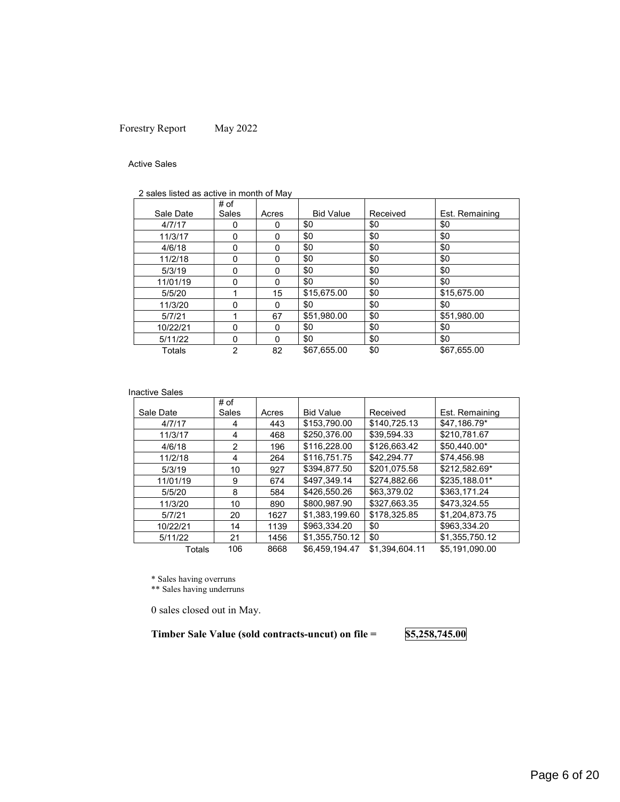### <span id="page-5-0"></span>Forestry Report May 2022

#### Active Sales

| 2 sales listed as active in month of May |  |
|------------------------------------------|--|
|------------------------------------------|--|

|           | # of     |          |                  |          |                |
|-----------|----------|----------|------------------|----------|----------------|
| Sale Date | Sales    | Acres    | <b>Bid Value</b> | Received | Est. Remaining |
| 4/7/17    | Ω        | 0        | \$0              | \$0      | \$0            |
| 11/3/17   | 0        | 0        | \$0              | \$0      | \$0            |
| 4/6/18    | 0        | 0        | \$0              | \$0      | \$0            |
| 11/2/18   | $\Omega$ | $\Omega$ | \$0              | \$0      | \$0            |
| 5/3/19    | 0        | $\Omega$ | \$0              | \$0      | \$0            |
| 11/01/19  | 0        | 0        | \$0              | \$0      | \$0            |
| 5/5/20    |          | 15       | \$15,675.00      | \$0      | \$15,675.00    |
| 11/3/20   | 0        | $\Omega$ | \$0              | \$0      | \$0            |
| 5/7/21    |          | 67       | \$51,980.00      | \$0      | \$51,980.00    |
| 10/22/21  | 0        | 0        | \$0              | \$0      | \$0            |
| 5/11/22   | $\Omega$ | $\Omega$ | \$0              | \$0      | \$0            |
| Totals    | 2        | 82       | \$67,655.00      | \$0      | \$67,655.00    |

#### Inactive Sales

|           | # of  |       |                  |                |                |
|-----------|-------|-------|------------------|----------------|----------------|
| Sale Date | Sales | Acres | <b>Bid Value</b> | Received       | Est. Remaining |
| 4/7/17    | 4     | 443   | \$153,790.00     | \$140,725.13   | \$47,186.79*   |
| 11/3/17   | 4     | 468   | \$250,376.00     | \$39.594.33    | \$210.781.67   |
| 4/6/18    | 2     | 196   | \$116,228.00     | \$126,663.42   | \$50.440.00*   |
| 11/2/18   | 4     | 264   | \$116,751.75     | \$42.294.77    | \$74.456.98    |
| 5/3/19    | 10    | 927   | \$394,877.50     | \$201.075.58   | \$212.582.69*  |
| 11/01/19  | 9     | 674   | \$497.349.14     | \$274.882.66   | \$235.188.01*  |
| 5/5/20    | 8     | 584   | \$426,550.26     | \$63.379.02    | \$363.171.24   |
| 11/3/20   | 10    | 890   | \$800.987.90     | \$327.663.35   | \$473,324.55   |
| 5/7/21    | 20    | 1627  | \$1.383.199.60   | \$178.325.85   | \$1,204,873.75 |
| 10/22/21  | 14    | 1139  | \$963,334.20     | \$0            | \$963.334.20   |
| 5/11/22   | 21    | 1456  | \$1,355,750.12   | \$0            | \$1,355,750.12 |
| Totals    | 106   | 8668  | \$6.459.194.47   | \$1.394.604.11 | \$5.191.090.00 |

\* Sales having overruns

\*\* Sales having underruns

0 sales closed out in May.

**Timber Sale Value (sold contracts-uncut) on file = \$5,258,745.00**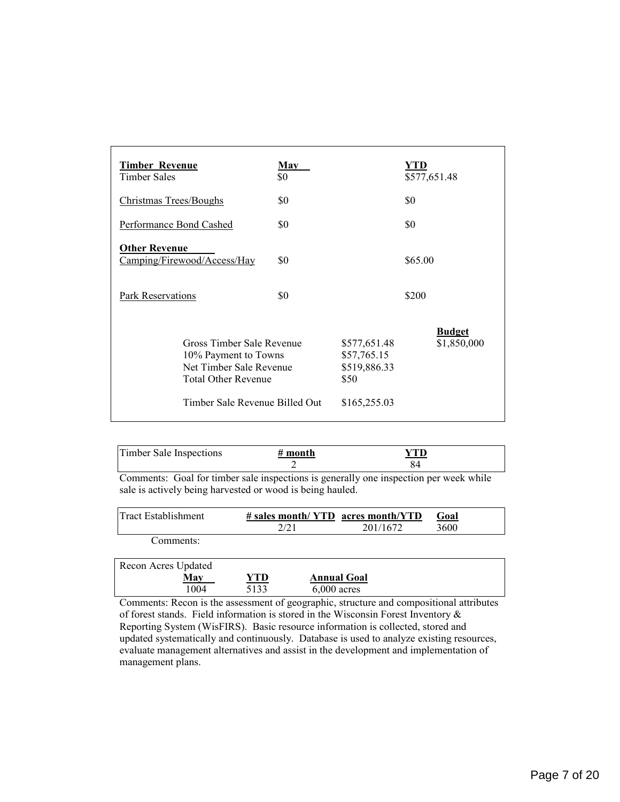| <b>Timber Revenue</b><br>Timber Sales                                                                                                        | <b>May</b><br>\$0 |                                                                     | YTD<br>\$577,651.48          |
|----------------------------------------------------------------------------------------------------------------------------------------------|-------------------|---------------------------------------------------------------------|------------------------------|
| Christmas Trees/Boughs                                                                                                                       | \$0               |                                                                     | \$0                          |
| Performance Bond Cashed                                                                                                                      | \$0               |                                                                     | \$0                          |
| <b>Other Revenue</b><br>Camping/Firewood/Access/Hay                                                                                          | \$0               |                                                                     | \$65.00                      |
| Park Reservations                                                                                                                            | \$0               |                                                                     | \$200                        |
| Gross Timber Sale Revenue<br>10% Payment to Towns<br>Net Timber Sale Revenue<br><b>Total Other Revenue</b><br>Timber Sale Revenue Billed Out |                   | \$577,651.48<br>\$57,765.15<br>\$519,886.33<br>\$50<br>\$165,255.03 | <b>Budget</b><br>\$1,850,000 |

| Timber Sale Inspections | # month |  |
|-------------------------|---------|--|
|                         |         |  |

Comments: Goal for timber sale inspections is generally one inspection per week while sale is actively being harvested or wood is being hauled.

| lTract Establishment | $\#$ sales month/ YTD acres month/YTD |          | Goal |
|----------------------|---------------------------------------|----------|------|
|                      | 2/21                                  | 201/1672 | 3600 |
| Comment:             |                                       |          |      |

| Recon Acres Updated |      |      |                    |  |
|---------------------|------|------|--------------------|--|
|                     | May  | YTD  | <b>Annual Goal</b> |  |
|                     | 1004 | 5133 | $6,000$ acres      |  |

Comments: Recon is the assessment of geographic, structure and compositional attributes of forest stands. Field information is stored in the Wisconsin Forest Inventory & Reporting System (WisFIRS). Basic resource information is collected, stored and updated systematically and continuously. Database is used to analyze existing resources, evaluate management alternatives and assist in the development and implementation of management plans.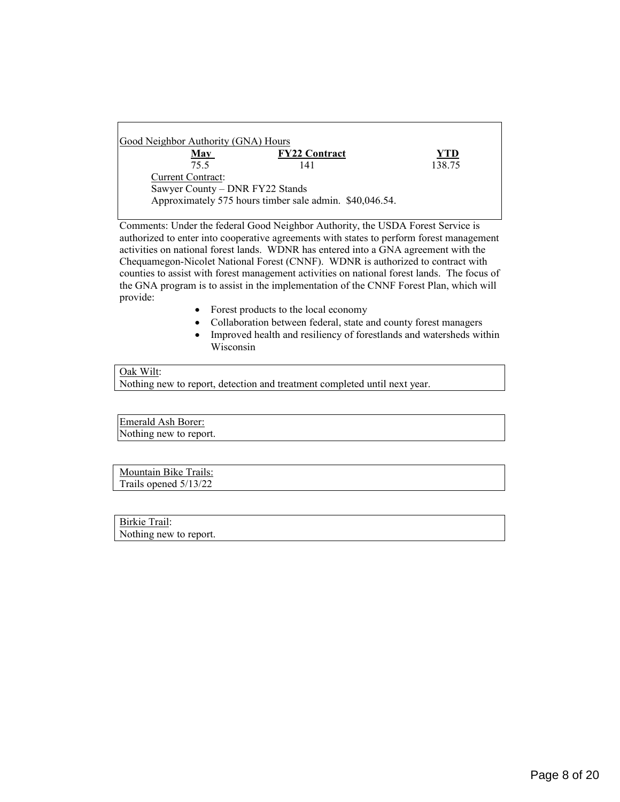| 138.75                                                  |
|---------------------------------------------------------|
|                                                         |
|                                                         |
| Approximately 575 hours timber sale admin. \$40,046.54. |

Comments: Under the federal Good Neighbor Authority, the USDA Forest Service is authorized to enter into cooperative agreements with states to perform forest management activities on national forest lands. WDNR has entered into a GNA agreement with the Chequamegon-Nicolet National Forest (CNNF). WDNR is authorized to contract with counties to assist with forest management activities on national forest lands. The focus of the GNA program is to assist in the implementation of the CNNF Forest Plan, which will provide:

- Forest products to the local economy
- Collaboration between federal, state and county forest managers
- Improved health and resiliency of forestlands and watersheds within Wisconsin

### Oak Wilt:

Nothing new to report, detection and treatment completed until next year.

Emerald Ash Borer: Nothing new to report.

Mountain Bike Trails: Trails opened 5/13/22

Birkie Trail: Nothing new to report.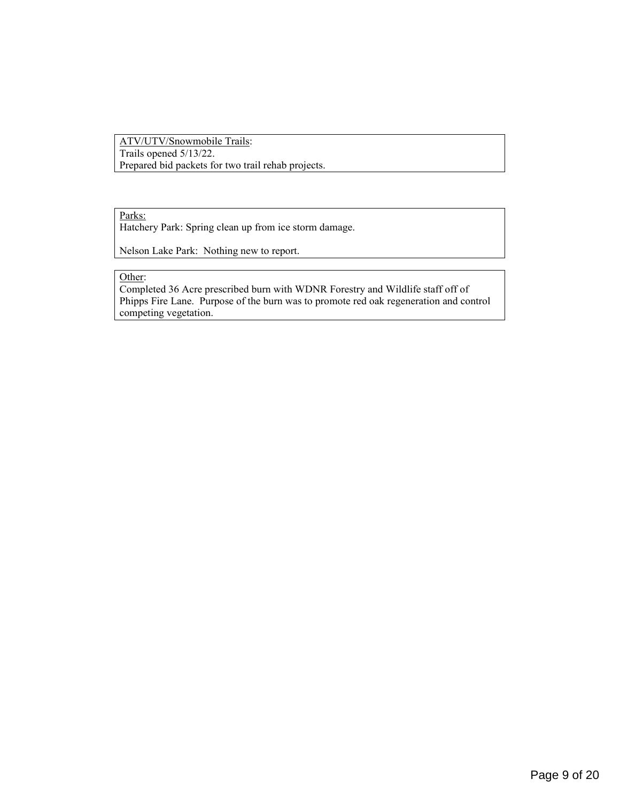#### ATV/UTV/Snowmobile Trails: Trails opened 5/13/22. Prepared bid packets for two trail rehab projects.

#### Parks:

Hatchery Park: Spring clean up from ice storm damage.

Nelson Lake Park: Nothing new to report.

#### Other:

Completed 36 Acre prescribed burn with WDNR Forestry and Wildlife staff off of Phipps Fire Lane. Purpose of the burn was to promote red oak regeneration and control competing vegetation.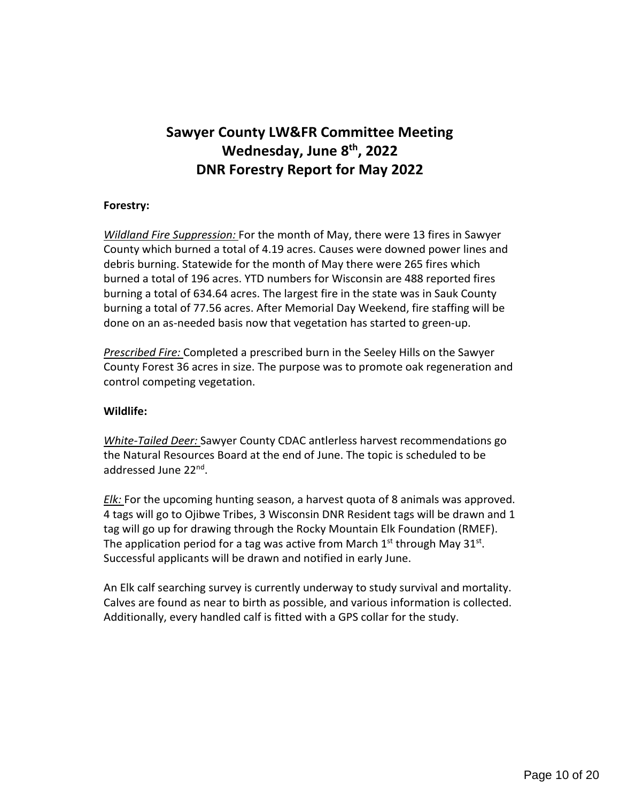# <span id="page-9-0"></span>**Sawyer County LW&FR Committee Meeting Wednesday, June 8th, 2022 DNR Forestry Report for May 2022**

### **Forestry:**

*Wildland Fire Suppression:* For the month of May, there were 13 fires in Sawyer County which burned a total of 4.19 acres. Causes were downed power lines and debris burning. Statewide for the month of May there were 265 fires which burned a total of 196 acres. YTD numbers for Wisconsin are 488 reported fires burning a total of 634.64 acres. The largest fire in the state was in Sauk County burning a total of 77.56 acres. After Memorial Day Weekend, fire staffing will be done on an as-needed basis now that vegetation has started to green-up.

*Prescribed Fire:* Completed a prescribed burn in the Seeley Hills on the Sawyer County Forest 36 acres in size. The purpose was to promote oak regeneration and control competing vegetation.

### **Wildlife:**

*White-Tailed Deer:* Sawyer County CDAC antlerless harvest recommendations go the Natural Resources Board at the end of June. The topic is scheduled to be addressed June 22nd.

*Elk:* For the upcoming hunting season, a harvest quota of 8 animals was approved. 4 tags will go to Ojibwe Tribes, 3 Wisconsin DNR Resident tags will be drawn and 1 tag will go up for drawing through the Rocky Mountain Elk Foundation (RMEF). The application period for a tag was active from March  $1<sup>st</sup>$  through May 31 $<sup>st</sup>$ .</sup> Successful applicants will be drawn and notified in early June.

An Elk calf searching survey is currently underway to study survival and mortality. Calves are found as near to birth as possible, and various information is collected. Additionally, every handled calf is fitted with a GPS collar for the study.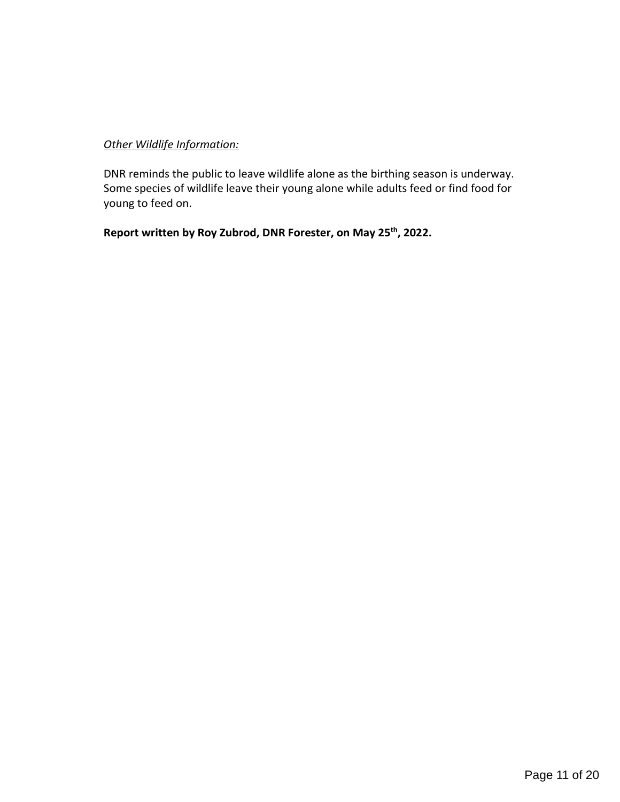### *Other Wildlife Information:*

DNR reminds the public to leave wildlife alone as the birthing season is underway. Some species of wildlife leave their young alone while adults feed or find food for young to feed on.

**Report written by Roy Zubrod, DNR Forester, on May 25th, 2022.**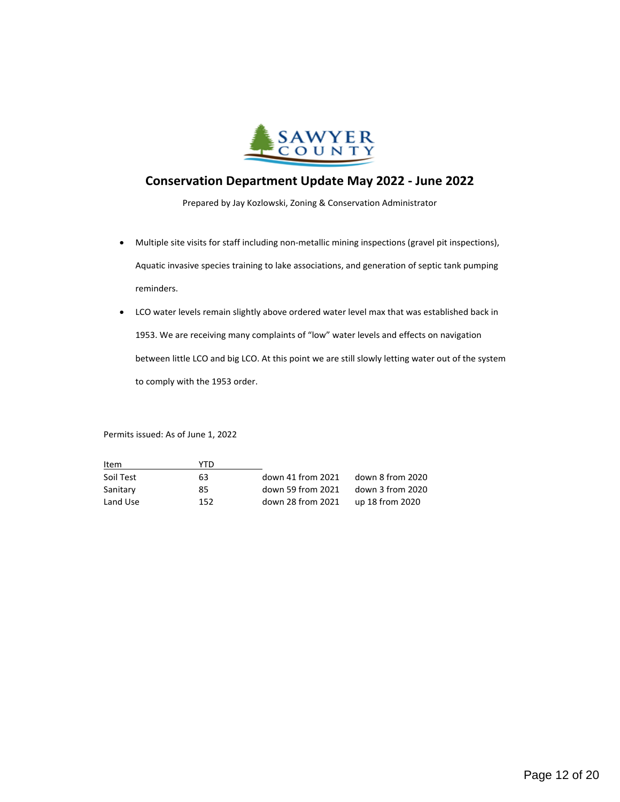

### <span id="page-11-0"></span>**Conservation Department Update May 2022 - June 2022**

Prepared by Jay Kozlowski, Zoning & Conservation Administrator

- Multiple site visits for staff including non-metallic mining inspections (gravel pit inspections), Aquatic invasive species training to lake associations, and generation of septic tank pumping reminders.
- LCO water levels remain slightly above ordered water level max that was established back in 1953. We are receiving many complaints of "low" water levels and effects on navigation between little LCO and big LCO. At this point we are still slowly letting water out of the system to comply with the 1953 order.

Permits issued: As of June 1, 2022

| Item      | YTD |                   |                  |
|-----------|-----|-------------------|------------------|
| Soil Test | 63. | down 41 from 2021 | down 8 from 2020 |
| Sanitary  | 85. | down 59 from 2021 | down 3 from 2020 |
| Land Use  | 152 | down 28 from 2021 | up 18 from 2020  |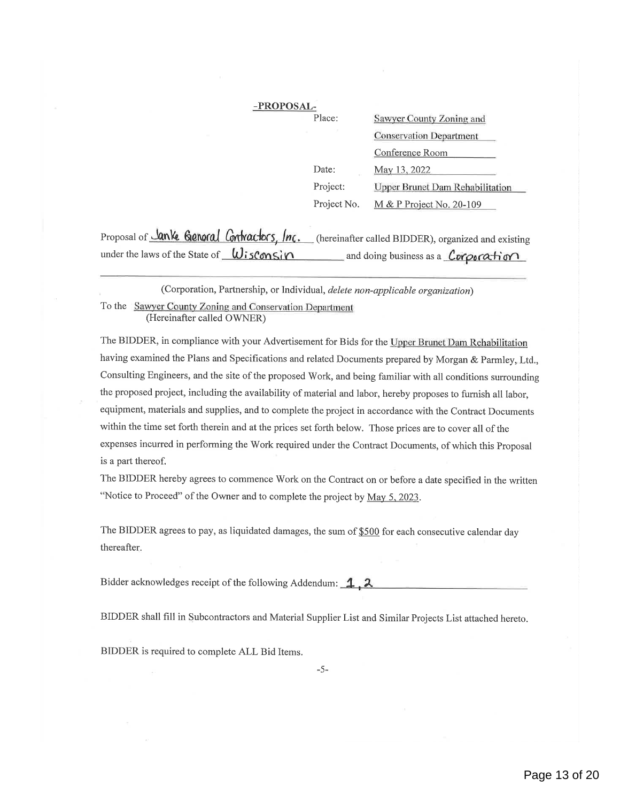| -PROPOSAL-  |                                        |
|-------------|----------------------------------------|
| Place:      | Sawyer County Zoning and               |
|             | <b>Conservation Department</b>         |
|             | Conference Room                        |
| Date:       | May 13, 2022                           |
| Project:    | <b>Upper Brunet Dam Rehabilitation</b> |
| Project No. | $M & P$ Project No. 20-109             |

<span id="page-12-0"></span>

|                                             | Proposal of <b>Janke Genoral Contractors, Inc.</b> (hereinafter called BIDDER), organized and existing |
|---------------------------------------------|--------------------------------------------------------------------------------------------------------|
| under the laws of the State of $W$ isConsin | and doing business as a <i>Corporation</i>                                                             |

To the Sawyer County Zoning and Conservation Departmen (Corporation, Partnership, or Individual, delete non-applicable organization) (Hereinafter called OWNER)

The BIDDER, in compliance with your Advertisement for Bids for the Upper Brunet Dam Rehabilitation having examined the Plans and Specifications and related Documents prepared by Morgan & Parmley, Ltd., Consulting Engineers, and the site of the proposed Work, and being familiar with all conditions surroundin the proposed project, including the availability of material and labor, hereby proposes to furnish all labor, equipment, materials and supplies, and to complete the project in accordance with the Contract Documents within the time set forth therein and at the prices set forth below. Those prices are to cover all of the expenses incurred in performing the Work required under the Contract Documents, of which this Proposal is a part thereof.

The BIDDER hereby agrees to commence Work on the Contract on or before a date specified in the written "Notice to Proceed" of the Owner and to complete the project by May 5, 2023.

The BIDDER agrees to pay, as liquidated damages, the sum of \$500 for each consecutive calendar day thereafter

Bidder acknowledges receipt of the following Addendum:  $\mathbf{1}$ ,  $\lambda$ 

BIDDER shall fill in Subcontractors and Material Supplier List and Similar Projects List attached hereto.

BIDDER is required to complete ALL Bid Items.

 $-5-$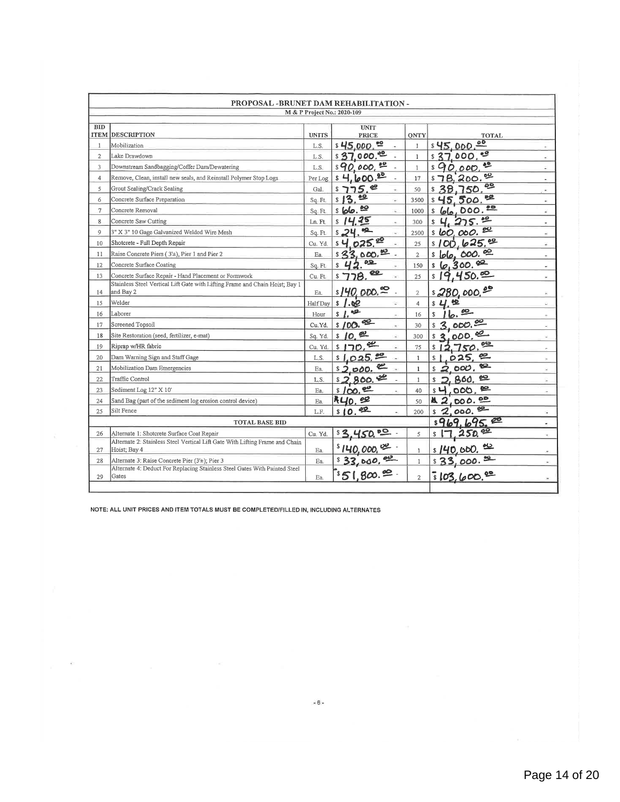|                | PROPOSAL -BRUNET DAM REHABILITATION -                                                        |                 |                             |                                  |                                                               |
|----------------|----------------------------------------------------------------------------------------------|-----------------|-----------------------------|----------------------------------|---------------------------------------------------------------|
|                |                                                                                              |                 | M & P Project No.: 2020-109 |                                  |                                                               |
| <b>BID</b>     | <b>ITEM DESCRIPTION</b>                                                                      | <b>UNITS</b>    | <b>UNIT</b><br><b>PRICE</b> | <b>ONTY</b>                      | <b>TOTAL</b>                                                  |
| 1              | Mobilization                                                                                 | L.S.            | $$45,000.^{22}$             | 1                                | \$45,000.00                                                   |
| $\overline{2}$ | Lake Drawdown                                                                                | LS.             | \$37,000.00                 | $\mathbf{1}$                     | و.<br>\$37<br>000.                                            |
| 3              | Downstream Sandbagging/Coffer Dam/Dewatering                                                 | L.S.            | $$90,000.$ $\frac{90}{2}$   | $\mathbf{1}$                     | ಲ<br>\$90,000                                                 |
| $\overline{4}$ | Remove, Clean, install new seals, and Reinstall Polymer Stop Logs                            | Per Log         | $$4,600.^2$                 | 17                               | یں<br>\$7B, 200.<br>$\overline{\phantom{a}}$                  |
| 5              | Grout Sealing/Crack Sealing                                                                  | Gal             | $75.$ $e$<br>S.             | 50<br>$\pm$                      | ల్లి<br>\$38.750<br>$\sim$                                    |
| 6              | Concrete Surface Preparation                                                                 | Sq. Ft.         | <u>99</u><br>s13            | 3500<br>¥)                       | ᄙ<br>\$45,500.<br>÷                                           |
| $\tau$         | Concrete Removal                                                                             | Sq. Ft.         | \$66.82                     | 1000<br>a.                       | ᅘ<br><u>66,000.</u><br>\$<br>×                                |
| 8              | Concrete Saw Cutting                                                                         | Ln. Ft.         | 25<br>\$                    | 300<br>$\sim$                    | 4, 275.<br>$\sim$                                             |
| 9              | 3" X 3" 10 Gage Galvanized Welded Wire Mesh                                                  | Sq. Ft.         | 69.<br>\$24                 | 2500<br>$\overline{\mathcal{M}}$ | ల్ల<br><u>s 60,000.</u><br>÷.                                 |
| 10             | Shotcrete - Full Depth Repair                                                                | Cu, Yd.         | $s + 0.25$ .                | 25<br>÷,                         | \$100, b25.<br>G.                                             |
| 11             | Raise Concrete Piers (3'±), Pier 1 and Pier 2                                                | Ea.             | \$33,000.00                 | $\overline{2}$                   | <u>s lolo, 600. 00</u><br>۰                                   |
| 12             | Concrete Surface Coating                                                                     | Sq. Ft          | ے<br>\$                     | 150                              | \$6,300.82<br>÷                                               |
| 13             | Concrete Surface Repair - Hand Placement or Formwork                                         | Cu Ft           | ఴ<br>78.<br>57              | 25<br>$\overline{\phantom{a}}$   | 19,450.89<br>$\mathbb{S}$<br>$\overline{\phantom{a}}$         |
| 14             | Stainless Steel Vertical Lift Gate with Lifting Frame and Chain Hoist; Bay 1<br>and Bay 2    | Ea.             | $s140,000.$ <sup>oo</sup> . | $\overline{2}$                   | 180,000.000                                                   |
| 15             | Welder                                                                                       | <b>Half</b> Day | 1.02<br>$\mathbf{s}$        | ÷<br>$\overline{4}$              | 些<br>\$<br>ü.                                                 |
| 16             | Laborer                                                                                      | Hour            | ٩Ø.<br>\$                   | 16<br>$\overline{a}$             | உ<br>\$<br>b.<br>×                                            |
| 17             | Screened Topsoil                                                                             | Cu.Yd.          | \$100. <sub>92</sub>        | 30<br>×.                         | 000, 00<br>$\mathbf{\mathcal{Z}}$<br>$\overline{\phantom{a}}$ |
| 18             | Site Restoration (seed, fertilizer, e-mat)                                                   | Sq. Yd.         | \$10.02                     | 300<br>×                         | 000, 00<br>$\bullet$<br>\$<br>ä,                              |
| 19             | Riprap w/HR fabric                                                                           | Cu, Yd.         | 170,00<br>\$                | 75                               | ల్లు<br>750<br>\$<br>×                                        |
| 20             | Dam Warning Sign and Staff Gage                                                              | L.S.            | $1,025.$ $20$               | 1<br>÷,                          | అ<br>025.<br>$\ddot{}$                                        |
| 21             | Mobilization Dam Emergencies                                                                 | Ea.             | $s_{2,000}$ e               | $\mathbf{1}$                     | 연.<br>2,000.<br>\$<br>$\sim$                                  |
| 22             | Traffic Control                                                                              | L.S.            | \$2,800.22                  | $\mathbf{1}$                     | ஜ<br><b>BOO.</b><br>£,                                        |
| 23             | Sediment Log 12" X 10'                                                                       | Ea.             | <u>s/00.00</u>              | 40                               | ⊯<br>.000.<br>×                                               |
| 24             | Sand Bag (part of the sediment log erosion control device)                                   | Ea.             | 40.02                       | 50                               | .000.00<br>$\overline{2}$<br>K.                               |
| 25             | Silt Fence                                                                                   | LF.             | 92<br>\$10.                 | 200                              | 2,000.00<br>\$<br>$\bar{a}$                                   |
|                | <b>TOTAL BASE BID</b>                                                                        |                 |                             |                                  | \$969.695.<br>÷.                                              |
| 26             | Alternate 1: Shotcrete Surface Coat Repair                                                   | Cu. Yd.         | \$3,450,00                  | 5                                | 250.90<br>\$<br>×.                                            |
| 27             | Alternate 2: Stainless Steel Vertical Lift Gate With Lifting Frame and Chain<br>Hoist; Bay 4 | Ea.             | $$140,000$ , $\infty$       | 1                                | <u> ಲ</u><br>s/40,600.<br>٠                                   |
| 28             | Alternate 3: Raise Concrete Pier (3'±); Pier 3                                               | Ea              | \$32,000.92                 | $\mathbf{1}$                     | உ<br>\$35,000<br>40                                           |
| 29             | Alternate 4: Deduct For Replacing Stainless Steel Gates With Painted Steel<br>Gates          | Ea.             | \$51,800.                   | $\overline{2}$                   | 5103,600.80                                                   |
|                |                                                                                              |                 |                             |                                  |                                                               |

NOTE: ALL UNIT PRICES AND ITEM TOTALS MUST BE COMPLETED/FILLED IN, INCLUDING ALTERNATES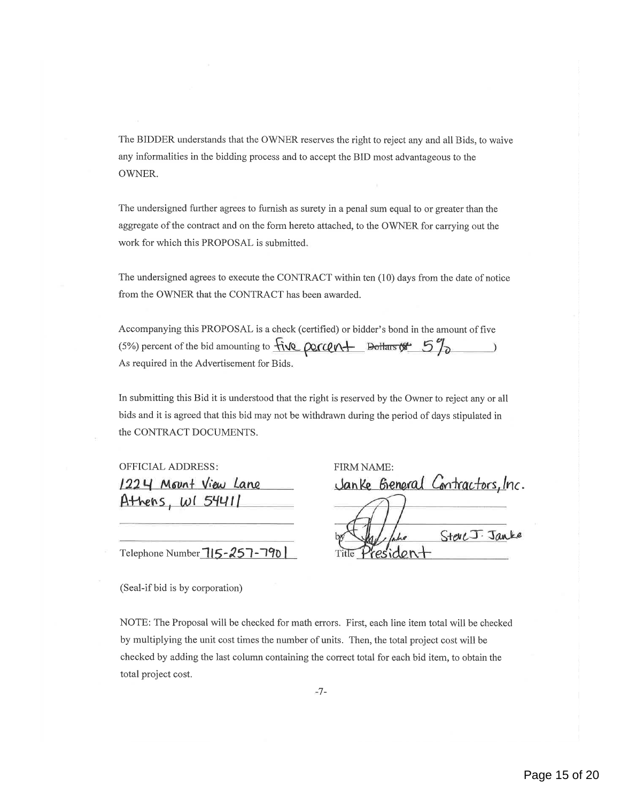The BIDDER understands that the OWNER reserves the right to reject any and all Bids, to waive any informalities in the bidding process and to accept the BID most advantageous to the OWNER.

The undersigned further agrees to furnish as surety in a penal sum equal to or greater than the aggregate of the contract and on the form hereto attached, to the OWNER for carrying out the work for which this PROPOSAL is submitted

The undersigned agrees to execute the CONTRACT within ten (10) days from the date of notice from the OWNER that the CONTRACT has been awarded.

check (certified) or bidder's bond in the amount of five<br>  $\frac{\text{div} \, \text{gcd}(n + \text{Delta})}{\text{Bids}}$ Accompanying this PROPOSAL is a check (certified) or bidder's bond in the amount of five (5%) percent of the bid amounting to  $\ddot{\mathcal{H}}$ As required in the Advertisement for Bids

In submitting this Bid it is understood that the right is reserved by the Owner to reject any or all bids and it is agreed that this bid may not be withdrawn during the period of days stipulated in the CONTRACT DOCUMENTS.

| <b>OFFICIAL ADDRESS:</b> | FIRM NAME: |  |  |
|--------------------------|------------|--|--|
| 1224 Mount View Lane     | Janke Gene |  |  |
| Athens, $W154411$        |            |  |  |
|                          |            |  |  |

Telephone Number  $715 - 257 - 790$ 

(Seal-if bid is by corporation)

neral Contractors, Inc.<br>)<br>he SteveJ: Janke Title President

NOTE: The Proposal will be checked for math errors. First, each line item total will be checked by multiplying the unit cost times the number of units. Then, the total project cost will be checked by adding the last column containing the correct total for each bid item, to obtain the total project cost.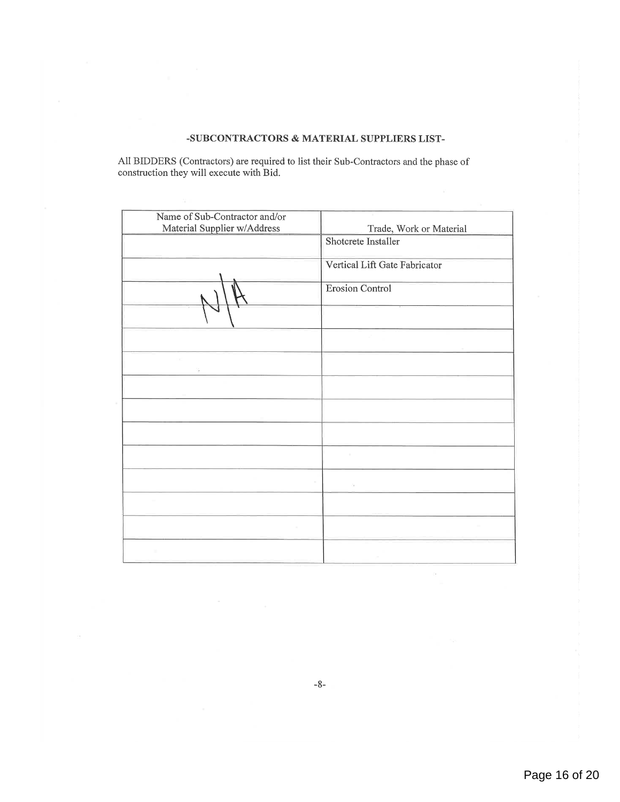#### -SUBCONTRACTORS & MATERIAL SUPPLIERS LIST-

All BIDDERS (Contractors) are required to list their Sub-Contractors and the phase of construction they will execute with Bid.

| Name of Sub-Contractor and/or |                               |
|-------------------------------|-------------------------------|
| Material Supplier w/Address   | Trade, Work or Material       |
|                               | Shotcrete Installer           |
|                               | Vertical Lift Gate Fabricator |
|                               | <b>Erosion Control</b>        |
|                               |                               |
|                               |                               |
|                               |                               |
|                               |                               |
|                               |                               |
|                               |                               |
|                               |                               |
|                               | ò.                            |
|                               |                               |
| $\sim$                        |                               |
|                               |                               |

 $\text{-}8\text{-}$ 

 $\hat{\Omega}$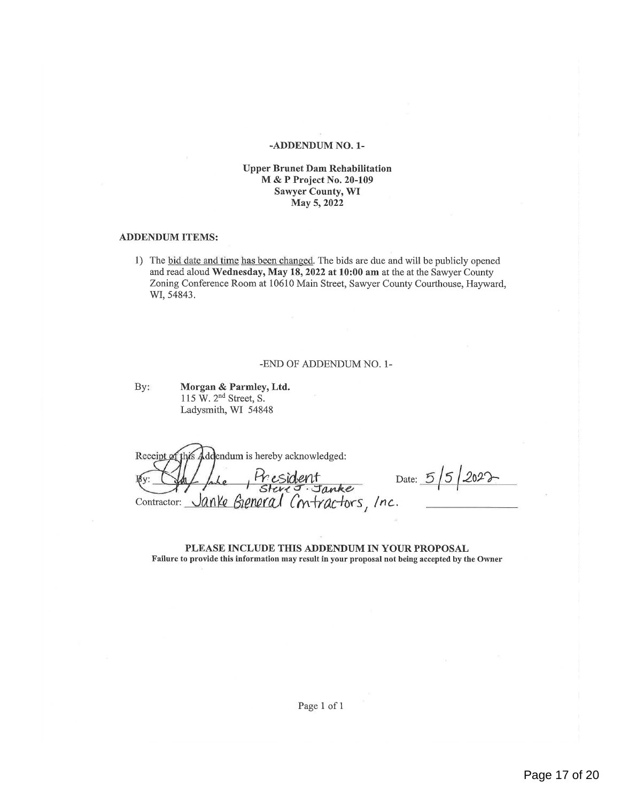#### -ADDENDUM NO. 1-

#### Upper Brunet Dam Rehabilitation M & P Project No. 20-109 Sawyer County, WI May 5, 2022

#### ADDENDUM ITEMS:

1) The bid date and time has been changed. The bids are due and will be publicly opened and read aloud Wednesday, May 18, 2022 at 10:00 am at the at the Sawyer County Zoning Conference Room at 10610 Main Street, Sawyer County Courthouse, Hayward, WI, 54843.

#### —ENDOF ADDENDUM NO. 1-

By: Morgan & Parmley, Ltd. 115 W.  $2<sup>nd</sup>$  Street, S. Ladysmith, WI 54848

Receipt ddendum is hereby acknowledged: Contractor: Janke General Contractors, Inc.

 $Pr$  esident Date:  $5/5/2022$ "

PLEASE INCLUDE THIS ADDENDUM IN YOUR PROPOSAL Failure to provide this information may result in your proposal not being accepted by the Owner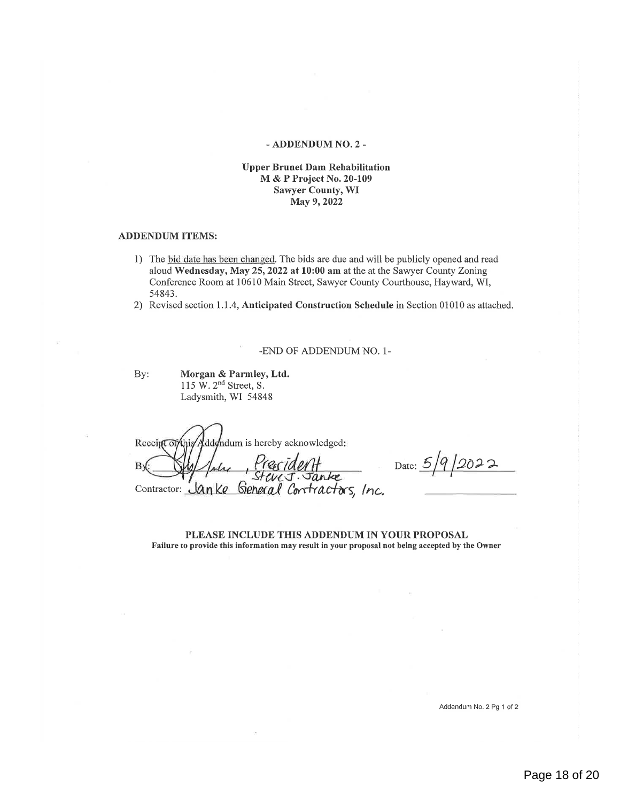#### — ADDENDUM NO. 2 —

#### Upper Brunet Dam Rehabilitation M & P Project No. 20-109 Sawyer County, WI May 9, 2022

#### ADDENDUM ITEMS:

- 1) The bid date has been changed. The bids are due and will be publicly opened and read aloud Wednesday, May 25, 2022 at 10:00 am at the at the Sawyer County Zoning Conference Room at 10610 Main Street, Sawyer County Courthouse, Hayward, WI, 54843.
- 2) Revised section 1.1.4, Anticipated Construction Schedule in Section 01010 as attached.

-END OF ADDENDUM NO. 1-

By: Morgan & Parmley, Ltd. 115 W. 2<sup>nd</sup> Street, S. Ladysmith, WI 54848

ddendum is hereby acknowledged: Receipt of the ecident B١ Contractor: Janke General Contractors, Inc.

Date:  $5/9/2022$ 

PLEASE INCLUDE THIS ADDENDUM IN YOUR PROPOSAL Failure to provide this information may result in your proposal not being accepted by the Owner

Addendum No. 2 Pg 1 of 2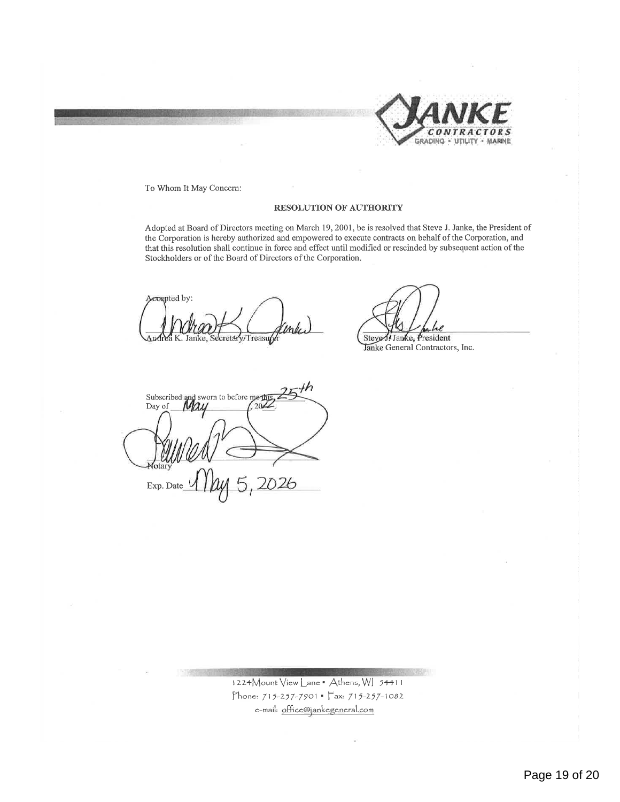

To Whom It May Concern:

#### RESOLUTION OF AUTHORITY

Adopted at Board of Directors meeting on March 19, 2001, be is resolved that Steve J. Janke, the President of the Corporation is hereby authorized and empowered to execute contracts on behalf of the Corporation, and that this resolution shall continue in force and effect until modified or rescinded by subsequent action of the Stockholders or of the Board of Directors of the Corporation.

'(ed Qgam/4Q";''71! \$1: ,/., cretary/Treasurer and Stevel/Janke, President

anke General Contractors, Inc.

Subscribed and sworn to before meth Day of Exp. Date

 $1224$ Mount View Lane  $\bullet$  Athens, W[ 54411 Phone: 715-257-7901 - Fax: 715-257-1082 e-mail: office@jankegeneral.com